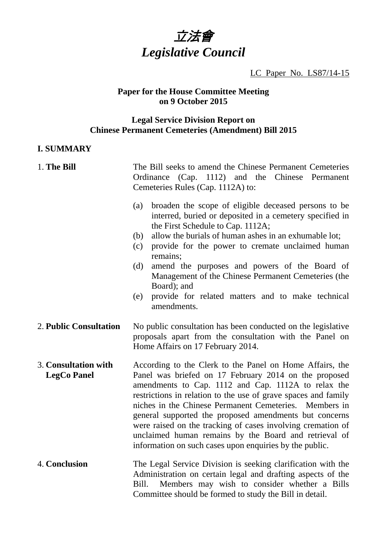

LC Paper No. LS87/14-15

#### **Paper for the House Committee Meeting on 9 October 2015**

#### **Legal Service Division Report on Chinese Permanent Cemeteries (Amendment) Bill 2015**

#### **I. SUMMARY**

# 1. **The Bill** The Bill seeks to amend the Chinese Permanent Cemeteries Ordinance (Cap. 1112) and the Chinese Permanent Cemeteries Rules (Cap. 1112A) to: (a) broaden the scope of eligible deceased persons to be interred, buried or deposited in a cemetery specified in the First Schedule to Cap. 1112A; (b) allow the burials of human ashes in an exhumable lot; (c) provide for the power to cremate unclaimed human remains; (d) amend the purposes and powers of the Board of Management of the Chinese Permanent Cemeteries (the Board); and (e) provide for related matters and to make technical amendments. 2. **Public Consultation** No public consultation has been conducted on the legislative proposals apart from the consultation with the Panel on Home Affairs on 17 February 2014. 3. **Consultation with LegCo Panel**  According to the Clerk to the Panel on Home Affairs, the Panel was briefed on 17 February 2014 on the proposed amendments to Cap. 1112 and Cap. 1112A to relax the restrictions in relation to the use of grave spaces and family niches in the Chinese Permanent Cemeteries. Members in general supported the proposed amendments but concerns were raised on the tracking of cases involving cremation of unclaimed human remains by the Board and retrieval of information on such cases upon enquiries by the public. 4. **Conclusion** The Legal Service Division is seeking clarification with the Administration on certain legal and drafting aspects of the Bill. Members may wish to consider whether a Bills Committee should be formed to study the Bill in detail.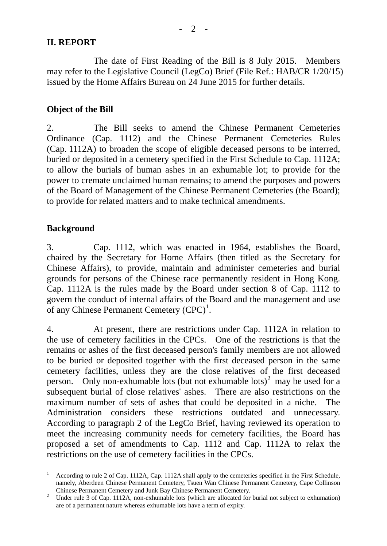## **II. REPORT**

 The date of First Reading of the Bill is 8 July 2015. Members may refer to the Legislative Council (LegCo) Brief (File Ref.: HAB/CR 1/20/15) issued by the Home Affairs Bureau on 24 June 2015 for further details.

## **Object of the Bill**

2. The Bill seeks to amend the Chinese Permanent Cemeteries Ordinance (Cap. 1112) and the Chinese Permanent Cemeteries Rules (Cap. 1112A) to broaden the scope of eligible deceased persons to be interred, buried or deposited in a cemetery specified in the First Schedule to Cap. 1112A; to allow the burials of human ashes in an exhumable lot; to provide for the power to cremate unclaimed human remains; to amend the purposes and powers of the Board of Management of the Chinese Permanent Cemeteries (the Board); to provide for related matters and to make technical amendments.

## **Background**

3. Cap. 1112, which was enacted in 1964, establishes the Board, chaired by the Secretary for Home Affairs (then titled as the Secretary for Chinese Affairs), to provide, maintain and administer cemeteries and burial grounds for persons of the Chinese race permanently resident in Hong Kong. Cap. 1112A is the rules made by the Board under section 8 of Cap. 1112 to govern the conduct of internal affairs of the Board and the management and use of any Chinese Permanent Cemetery  $(CPC)^1$  $(CPC)^1$ .

4. At present, there are restrictions under Cap. 1112A in relation to the use of cemetery facilities in the CPCs. One of the restrictions is that the remains or ashes of the first deceased person's family members are not allowed to be buried or deposited together with the first deceased person in the same cemetery facilities, unless they are the close relatives of the first deceased person. Only non-exhumable lots (but not exhumable lots)<sup>[2](#page-1-1)</sup> may be used for a subsequent burial of close relatives' ashes. There are also restrictions on the maximum number of sets of ashes that could be deposited in a niche. The Administration considers these restrictions outdated and unnecessary. According to paragraph 2 of the LegCo Brief, having reviewed its operation to meet the increasing community needs for cemetery facilities, the Board has proposed a set of amendments to Cap. 1112 and Cap. 1112A to relax the restrictions on the use of cemetery facilities in the CPCs.

<span id="page-1-0"></span> $\overline{a}$ 1 According to rule 2 of Cap. 1112A, Cap. 1112A shall apply to the cemeteries specified in the First Schedule, namely, Aberdeen Chinese Permanent Cemetery, Tsuen Wan Chinese Permanent Cemetery, Cape Collinson Chinese Permanent Cemetery and Junk Bay Chinese Permanent Cemetery. 2

<span id="page-1-1"></span><sup>&</sup>lt;sup>2</sup> Under rule 3 of Cap. 1112A, non-exhumable lots (which are allocated for burial not subject to exhumation) are of a permanent nature whereas exhumable lots have a term of expiry.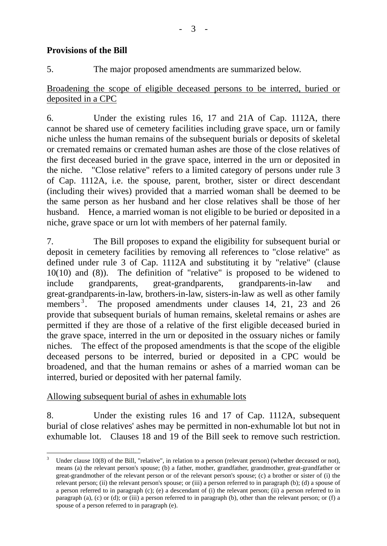# **Provisions of the Bill**

5. The major proposed amendments are summarized below.

Broadening the scope of eligible deceased persons to be interred, buried or deposited in a CPC

6. Under the existing rules 16, 17 and 21A of Cap. 1112A, there cannot be shared use of cemetery facilities including grave space, urn or family niche unless the human remains of the subsequent burials or deposits of skeletal or cremated remains or cremated human ashes are those of the close relatives of the first deceased buried in the grave space, interred in the urn or deposited in the niche. "Close relative" refers to a limited category of persons under rule 3 of Cap. 1112A, i.e. the spouse, parent, brother, sister or direct descendant (including their wives) provided that a married woman shall be deemed to be the same person as her husband and her close relatives shall be those of her husband. Hence, a married woman is not eligible to be buried or deposited in a niche, grave space or urn lot with members of her paternal family.

7. The Bill proposes to expand the eligibility for subsequent burial or deposit in cemetery facilities by removing all references to "close relative" as defined under rule 3 of Cap. 1112A and substituting it by "relative" (clause 10(10) and (8)). The definition of "relative" is proposed to be widened to include grandparents, great-grandparents, grandparents-in-law and great-grandparents-in-law, brothers-in-law, sisters-in-law as well as other family members $^3$  $^3$ . . The proposed amendments under clauses 14, 21, 23 and 26 provide that subsequent burials of human remains, skeletal remains or ashes are permitted if they are those of a relative of the first eligible deceased buried in the grave space, interred in the urn or deposited in the ossuary niches or family niches. The effect of the proposed amendments is that the scope of the eligible deceased persons to be interred, buried or deposited in a CPC would be broadened, and that the human remains or ashes of a married woman can be interred, buried or deposited with her paternal family.

# Allowing subsequent burial of ashes in exhumable lots

8. Under the existing rules 16 and 17 of Cap. 1112A, subsequent burial of close relatives' ashes may be permitted in non-exhumable lot but not in exhumable lot. Clauses 18 and 19 of the Bill seek to remove such restriction.

<span id="page-2-0"></span> $\overline{a}$ 3 Under clause 10(8) of the Bill, "relative", in relation to a person (relevant person) (whether deceased or not), means (a) the relevant person's spouse; (b) a father, mother, grandfather, grandmother, great-grandfather or great-grandmother of the relevant person or of the relevant person's spouse; (c) a brother or sister of (i) the relevant person; (ii) the relevant person's spouse; or (iii) a person referred to in paragraph (b); (d) a spouse of a person referred to in paragraph (c); (e) a descendant of (i) the relevant person; (ii) a person referred to in paragraph (a), (c) or (d); or (iii) a person referred to in paragraph (b), other than the relevant person; or (f) a spouse of a person referred to in paragraph (e).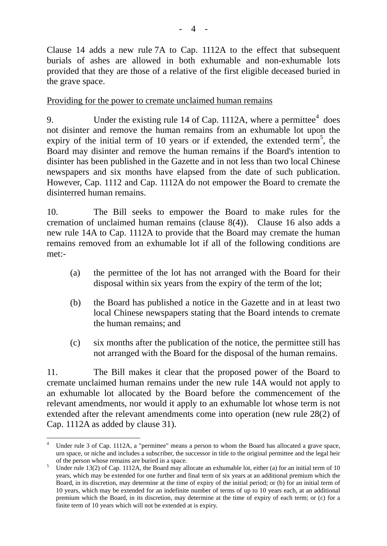Clause 14 adds a new rule 7A to Cap. 1112A to the effect that subsequent burials of ashes are allowed in both exhumable and non-exhumable lots provided that they are those of a relative of the first eligible deceased buried in the grave space.

## Providing for the power to cremate unclaimed human remains

9. Under the existing rule 1[4](#page-3-0) of Cap. 1112A, where a permittee $4$  does not disinter and remove the human remains from an exhumable lot upon the expiry of the initial term of 10 years or if extended, the extended term<sup>[5](#page-3-1)</sup>, the Board may disinter and remove the human remains if the Board's intention to disinter has been published in the Gazette and in not less than two local Chinese newspapers and six months have elapsed from the date of such publication. However, Cap. 1112 and Cap. 1112A do not empower the Board to cremate the disinterred human remains.

10. The Bill seeks to empower the Board to make rules for the cremation of unclaimed human remains (clause 8(4)). Clause 16 also adds a new rule 14A to Cap. 1112A to provide that the Board may cremate the human remains removed from an exhumable lot if all of the following conditions are met:-

- (a) the permittee of the lot has not arranged with the Board for their disposal within six years from the expiry of the term of the lot;
- (b) the Board has published a notice in the Gazette and in at least two local Chinese newspapers stating that the Board intends to cremate the human remains; and
- (c) six months after the publication of the notice, the permittee still has not arranged with the Board for the disposal of the human remains.

11. The Bill makes it clear that the proposed power of the Board to cremate unclaimed human remains under the new rule 14A would not apply to an exhumable lot allocated by the Board before the commencement of the relevant amendments, nor would it apply to an exhumable lot whose term is not extended after the relevant amendments come into operation (new rule 28(2) of Cap. 1112A as added by clause 31).

<span id="page-3-0"></span> $\overline{a}$ 4 Under rule 3 of Cap. 1112A, a "permittee" means a person to whom the Board has allocated a grave space, urn space, or niche and includes a subscriber, the successor in title to the original permittee and the legal heir

<span id="page-3-1"></span>of the person whose remains are buried in a space.<br><sup>5</sup> Under rule 13(2) of Cap. 1112A, the Board may allocate an exhumable lot, either (a) for an initial term of 10 years, which may be extended for one further and final term of six years at an additional premium which the Board, in its discretion, may determine at the time of expiry of the initial period; or (b) for an initial term of 10 years, which may be extended for an indefinite number of terms of up to 10 years each, at an additional premium which the Board, in its discretion, may determine at the time of expiry of each term; or (c) for a finite term of 10 years which will not be extended at is expiry.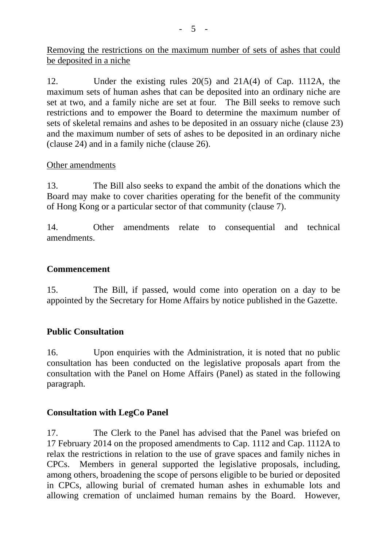Removing the restrictions on the maximum number of sets of ashes that could be deposited in a niche

12. Under the existing rules 20(5) and 21A(4) of Cap. 1112A, the maximum sets of human ashes that can be deposited into an ordinary niche are set at two, and a family niche are set at four. The Bill seeks to remove such restrictions and to empower the Board to determine the maximum number of sets of skeletal remains and ashes to be deposited in an ossuary niche (clause 23) and the maximum number of sets of ashes to be deposited in an ordinary niche (clause 24) and in a family niche (clause 26).

## Other amendments

13. The Bill also seeks to expand the ambit of the donations which the Board may make to cover charities operating for the benefit of the community of Hong Kong or a particular sector of that community (clause 7).

14. Other amendments relate to consequential and technical amendments.

## **Commencement**

15. The Bill, if passed, would come into operation on a day to be appointed by the Secretary for Home Affairs by notice published in the Gazette.

## **Public Consultation**

16. Upon enquiries with the Administration, it is noted that no public consultation has been conducted on the legislative proposals apart from the consultation with the Panel on Home Affairs (Panel) as stated in the following paragraph.

## **Consultation with LegCo Panel**

17. The Clerk to the Panel has advised that the Panel was briefed on 17 February 2014 on the proposed amendments to Cap. 1112 and Cap. 1112A to relax the restrictions in relation to the use of grave spaces and family niches in CPCs. Members in general supported the legislative proposals, including, among others, broadening the scope of persons eligible to be buried or deposited in CPCs, allowing burial of cremated human ashes in exhumable lots and allowing cremation of unclaimed human remains by the Board. However,